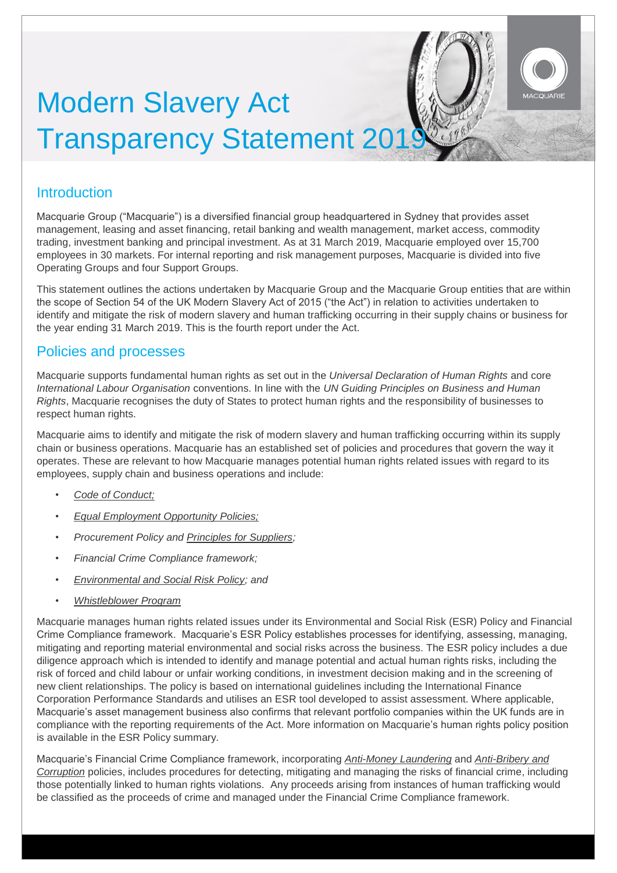# Modern Slavery Act **Transparency Statement 201**

## Introduction

Macquarie Group ("Macquarie") is a diversified financial group headquartered in Sydney that provides asset management, leasing and asset financing, retail banking and wealth management, market access, commodity trading, investment banking and principal investment. As at 31 March 2019, Macquarie employed over 15,700 employees in 30 markets. For internal reporting and risk management purposes, Macquarie is divided into five Operating Groups and four Support Groups.

This statement outlines the actions undertaken by Macquarie Group and the Macquarie Group entities that are within the scope of Section 54 of the UK Modern Slavery Act of 2015 ("the Act") in relation to activities undertaken to identify and mitigate the risk of modern slavery and human trafficking occurring in their supply chains or business for the year ending 31 March 2019. This is the fourth report under the Act.

### Policies and processes

Macquarie supports fundamental human rights as set out in the *Universal Declaration of Human Rights* and core *International Labour Organisation* conventions. In line with the *UN Guiding Principles on Business and Human Rights*, Macquarie recognises the duty of States to protect human rights and the responsibility of businesses to respect human rights.

Macquarie aims to identify and mitigate the risk of modern slavery and human trafficking occurring within its supply chain or business operations. Macquarie has an established set of policies and procedures that govern the way it operates. These are relevant to how Macquarie manages potential human rights related issues with regard to its employees, supply chain and business operations and include:

- *[Code of Conduct;](https://static.macquarie.com/dafiles/Internet/mgl/global/shared/sf/mgl-code-of-conduct.pdf?v=21)*
- *[Equal Employment Opportunity Policies;](https://www.macquarie.com/au/about/careers/anz/diversity-and-inclusion)*
- *Procurement Policy and [Principles for Suppliers;](https://static.macquarie.com/dafiles/Internet/mgl/global/shared/about/company-profile/macquarie-principles-for-suppliers.pdf?v=2)*
- *Financial Crime Compliance framework;*
- *[Environmental and Social Risk Policy; and](https://static.macquarie.com/dafiles/Internet/mgl/global/shared/about/company-profile/esg/esr-policy-summary_97_2003.pdf?v=8)*
- *[Whistleblower Program](https://www.macquarie.com/au/about/disclosures/whistleblower-program)*

Macquarie manages human rights related issues under its Environmental and Social Risk (ESR) Policy and Financial Crime Compliance framework. Macquarie's ESR Policy establishes processes for identifying, assessing, managing, mitigating and reporting material environmental and social risks across the business. The ESR policy includes a due diligence approach which is intended to identify and manage potential and actual human rights risks, including the risk of forced and child labour or unfair working conditions, in investment decision making and in the screening of new client relationships. The policy is based on international guidelines including the International Finance Corporation Performance Standards and utilises an ESR tool developed to assist assessment. Where applicable, Macquarie's asset management business also confirms that relevant portfolio companies within the UK funds are in compliance with the reporting requirements of the Act. More information on Macquarie's human rights policy position is available in the ESR Policy summary.

Macquarie's Financial Crime Compliance framework, incorporating *[Anti-Money Laundering](https://static.macquarie.com/dafiles/Internet/mgl/global/shared/about/company-profile/esg/aml-ctf-policy-summary.pdf?v=7)* and *[Anti-Bribery and](https://static.macquarie.com/dafiles/Internet/mgl/global/shared/about/company-profile/leadership/docs/anti-bribery-and-corruption-policy.pdf?v=9)  [Corruption](https://static.macquarie.com/dafiles/Internet/mgl/global/shared/about/company-profile/leadership/docs/anti-bribery-and-corruption-policy.pdf?v=9)* policies, includes procedures for detecting, mitigating and managing the risks of financial crime, including those potentially linked to human rights violations. Any proceeds arising from instances of human trafficking would be classified as the proceeds of crime and managed under the Financial Crime Compliance framework.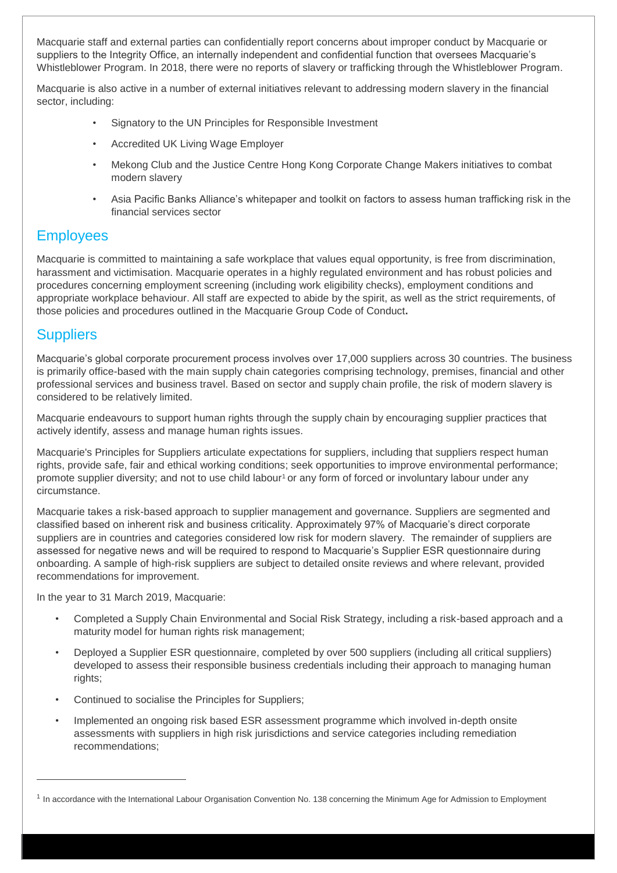Macquarie staff and external parties can confidentially report concerns about improper conduct by Macquarie or suppliers to the Integrity Office, an internally independent and confidential function that oversees Macquarie's Whistleblower Program. In 2018, there were no reports of slavery or trafficking through the Whistleblower Program.

Macquarie is also active in a number of external initiatives relevant to addressing modern slavery in the financial sector, including:

- Signatory to the UN Principles for Responsible Investment
- Accredited UK Living Wage Employer
- Mekong Club and the Justice Centre Hong Kong Corporate Change Makers initiatives to combat modern slavery
- Asia Pacific Banks Alliance's whitepaper and toolkit on factors to assess human trafficking risk in the financial services sector

# **Employees**

Macquarie is committed to maintaining a safe workplace that values equal opportunity, is free from discrimination, harassment and victimisation. Macquarie operates in a highly regulated environment and has robust policies and procedures concerning employment screening (including work eligibility checks), employment conditions and appropriate workplace behaviour. All staff are expected to abide by the spirit, as well as the strict requirements, of those policies and procedures outlined in the Macquarie Group Code of Conduct**.**

## **Suppliers**

 $\overline{a}$ 

Macquarie's global corporate procurement process involves over 17,000 suppliers across 30 countries. The business is primarily office-based with the main supply chain categories comprising technology, premises, financial and other professional services and business travel. Based on sector and supply chain profile, the risk of modern slavery is considered to be relatively limited.

Macquarie endeavours to support human rights through the supply chain by encouraging supplier practices that actively identify, assess and manage human rights issues.

Macquarie's Principles for Suppliers articulate expectations for suppliers, including that suppliers respect human rights, provide safe, fair and ethical working conditions; seek opportunities to improve environmental performance; promote supplier diversity; and not to use child labour<sup>1</sup> or any form of forced or involuntary labour under any circumstance.

Macquarie takes a risk-based approach to supplier management and governance. Suppliers are segmented and classified based on inherent risk and business criticality. Approximately 97% of Macquarie's direct corporate suppliers are in countries and categories considered low risk for modern slavery. The remainder of suppliers are assessed for negative news and will be required to respond to Macquarie's Supplier ESR questionnaire during onboarding. A sample of high-risk suppliers are subject to detailed onsite reviews and where relevant, provided recommendations for improvement.

In the year to 31 March 2019, Macquarie:

- Completed a Supply Chain Environmental and Social Risk Strategy, including a risk-based approach and a maturity model for human rights risk management;
- Deployed a Supplier ESR questionnaire, completed by over 500 suppliers (including all critical suppliers) developed to assess their responsible business credentials including their approach to managing human rights;
- Continued to socialise the Principles for Suppliers;
- Implemented an ongoing risk based ESR assessment programme which involved in-depth onsite assessments with suppliers in high risk jurisdictions and service categories including remediation recommendations;

<sup>&</sup>lt;sup>1</sup> In accordance with the International Labour Organisation Convention No. 138 concerning the Minimum Age for Admission to Employment